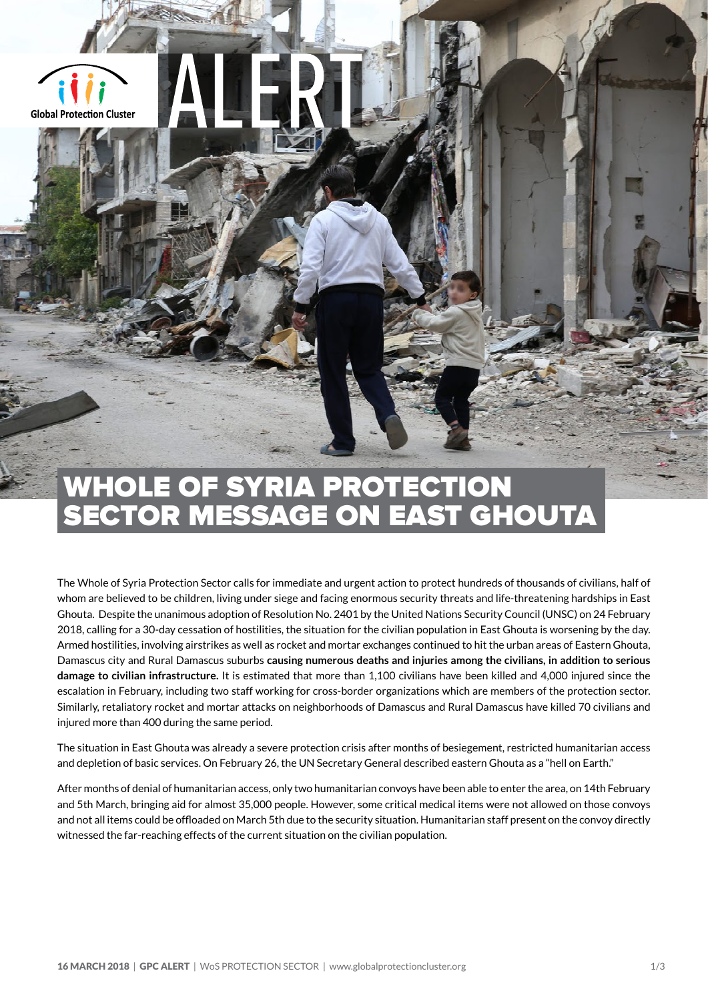

## WHOLE OF SYRIA PROTECTION SECTOR MESSAGE ON EAST GHOUTA

The Whole of Syria Protection Sector calls for immediate and urgent action to protect hundreds of thousands of civilians, half of whom are believed to be children, living under siege and facing enormous security threats and life-threatening hardships in East Ghouta. Despite the unanimous adoption of Resolution No. 2401 by the United Nations Security Council (UNSC) on 24 February 2018, calling for a 30-day cessation of hostilities, the situation for the civilian population in East Ghouta is worsening by the day. Armed hostilities, involving airstrikes as well as rocket and mortar exchanges continued to hit the urban areas of Eastern Ghouta, Damascus city and Rural Damascus suburbs **causing numerous deaths and injuries among the civilians, in addition to serious damage to civilian infrastructure.** It is estimated that more than 1,100 civilians have been killed and 4,000 injured since the escalation in February, including two staff working for cross-border organizations which are members of the protection sector. Similarly, retaliatory rocket and mortar attacks on neighborhoods of Damascus and Rural Damascus have killed 70 civilians and injured more than 400 during the same period.

The situation in East Ghouta was already a severe protection crisis after months of besiegement, restricted humanitarian access and depletion of basic services. On February 26, the UN Secretary General described eastern Ghouta as a "hell on Earth."

After months of denial of humanitarian access, only two humanitarian convoys have been able to enter the area, on 14th February and 5th March, bringing aid for almost 35,000 people. However, some critical medical items were not allowed on those convoys and not all items could be offloaded on March 5th due to the security situation. Humanitarian staff present on the convoy directly witnessed the far-reaching effects of the current situation on the civilian population.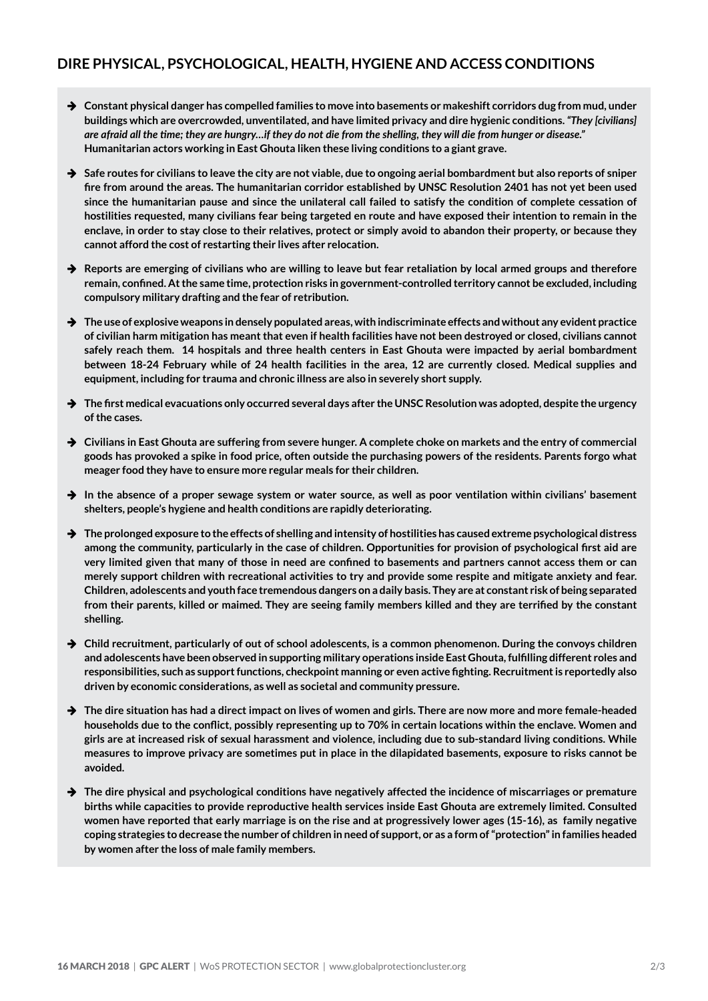## **DIRE PHYSICAL, PSYCHOLOGICAL, HEALTH, HYGIENE AND ACCESS CONDITIONS**

- **→** Constant physical danger has compelled families to move into basements or makeshift corridors dug from mud, under **buildings which are overcrowded, unventilated, and have limited privacy and dire hygienic conditions.** *"They [civilians] are afraid all the time; they are hungry…if they do not die from the shelling, they will die from hunger or disease."*  **Humanitarian actors working in East Ghouta liken these living conditions to a giant grave.**
- → Safe routes for civilians to leave the city are not viable, due to ongoing aerial bombardment but also reports of sniper **fire from around the areas. The humanitarian corridor established by UNSC Resolution 2401 has not yet been used since the humanitarian pause and since the unilateral call failed to satisfy the condition of complete cessation of hostilities requested, many civilians fear being targeted en route and have exposed their intention to remain in the enclave, in order to stay close to their relatives, protect or simply avoid to abandon their property, or because they cannot afford the cost of restarting their lives after relocation.**
- **→** Reports are emerging of civilians who are willing to leave but fear retaliation by local armed groups and therefore **remain, confined. At the same time, protection risks in government-controlled territory cannot be excluded, including compulsory military drafting and the fear of retribution.**
- **→** The use of explosive weapons in densely populated areas, with indiscriminate effects and without any evident practice **of civilian harm mitigation has meant that even if health facilities have not been destroyed or closed, civilians cannot safely reach them. 14 hospitals and three health centers in East Ghouta were impacted by aerial bombardment between 18-24 February while of 24 health facilities in the area, 12 are currently closed. Medical supplies and equipment, including for trauma and chronic illness are also in severely short supply.**
- → The first medical evacuations only occurred several days after the UNSC Resolution was adopted, despite the urgency **of the cases.**
- → Civilians in East Ghouta are suffering from severe hunger. A complete choke on markets and the entry of commercial **goods has provoked a spike in food price, often outside the purchasing powers of the residents. Parents forgo what meager food they have to ensure more regular meals for their children.**
- → In the absence of a proper sewage system or water source, as well as poor ventilation within civilians' basement **shelters, people's hygiene and health conditions are rapidly deteriorating.**
- → The prolonged exposure to the effects of shelling and intensity of hostilities has caused extreme psychological distress **among the community, particularly in the case of children. Opportunities for provision of psychological first aid are very limited given that many of those in need are confined to basements and partners cannot access them or can merely support children with recreational activities to try and provide some respite and mitigate anxiety and fear. Children, adolescents and youth face tremendous dangers on a daily basis. They are at constant risk of being separated from their parents, killed or maimed. They are seeing family members killed and they are terrified by the constant shelling.**
- → Child recruitment, particularly of out of school adolescents, is a common phenomenon. During the convoys children **and adolescents have been observed in supporting military operations inside East Ghouta, fulfilling different roles and responsibilities, such as support functions, checkpoint manning or even active fighting. Recruitment is reportedly also driven by economic considerations, as well as societal and community pressure.**
- **→** The dire situation has had a direct impact on lives of women and girls. There are now more and more female-headed **households due to the conflict, possibly representing up to 70% in certain locations within the enclave. Women and girls are at increased risk of sexual harassment and violence, including due to sub-standard living conditions. While measures to improve privacy are sometimes put in place in the dilapidated basements, exposure to risks cannot be avoided.**
- → The dire physical and psychological conditions have negatively affected the incidence of miscarriages or premature **births while capacities to provide reproductive health services inside East Ghouta are extremely limited. Consulted women have reported that early marriage is on the rise and at progressively lower ages (15-16), as family negative coping strategies to decrease the number of children in need of support, or as a form of "protection" in families headed by women after the loss of male family members.**